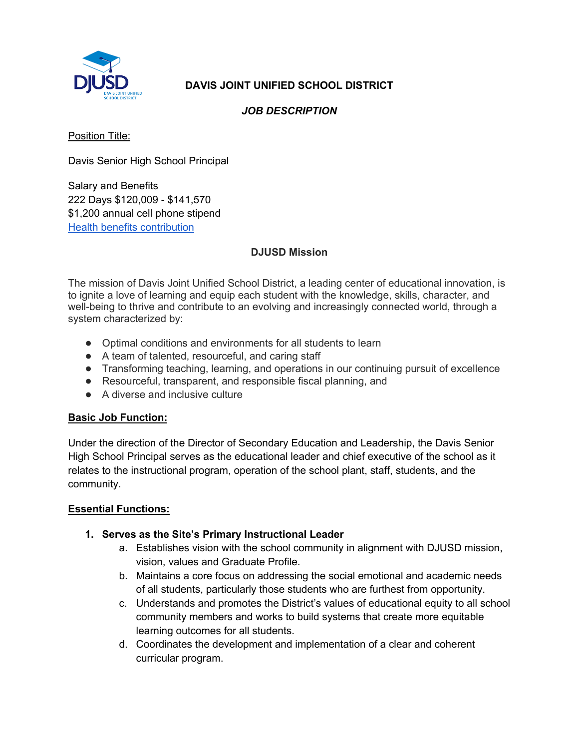

# **DAVIS JOINT UNIFIED SCHOOL DISTRICT**

#### *JOB DESCRIPTION*

Position Title:

Davis Senior High School Principal

Salary and Benefits 222 Days \$120,009 - \$141,570 \$1,200 annual cell phone stipend Health benefits contribution

#### **DJUSD Mission**

The mission of Davis Joint Unified School District, a leading center of educational innovation, is to ignite a love of learning and equip each student with the knowledge, skills, character, and well-being to thrive and contribute to an evolving and increasingly connected world, through a system characterized by:

- Optimal conditions and environments for all students to learn
- A team of talented, resourceful, and caring staff
- Transforming teaching, learning, and operations in our continuing pursuit of excellence
- Resourceful, transparent, and responsible fiscal planning, and
- A diverse and inclusive culture

#### **Basic Job Function:**

Under the direction of the Director of Secondary Education and Leadership, the Davis Senior High School Principal serves as the educational leader and chief executive of the school as it relates to the instructional program, operation of the school plant, staff, students, and the community.

#### **Essential Functions:**

#### **1. Serves as the Site's Primary Instructional Leader**

- a. Establishes vision with the school community in alignment with DJUSD mission, vision, values and Graduate Profile.
- b. Maintains a core focus on addressing the social emotional and academic needs of all students, particularly those students who are furthest from opportunity.
- c. Understands and promotes the District's values of educational equity to all school community members and works to build systems that create more equitable learning outcomes for all students.
- d. Coordinates the development and implementation of a clear and coherent curricular program.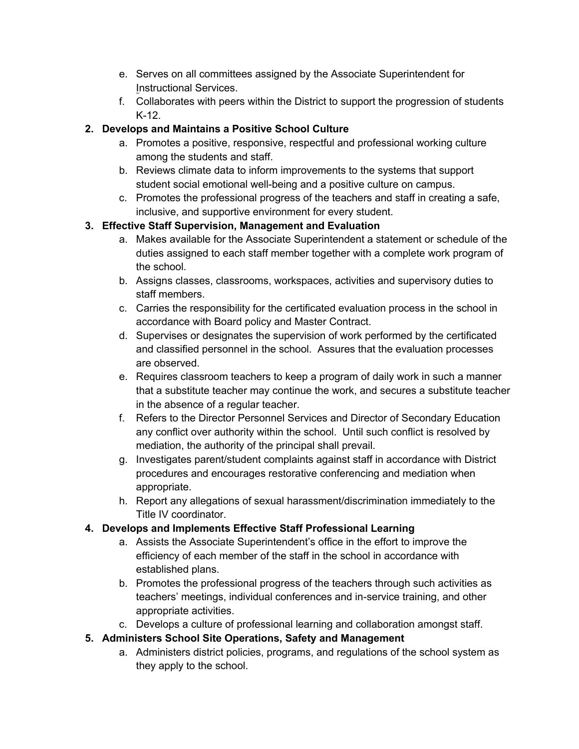- e. Serves on all committees assigned by the Associate Superintendent for Instructional Services.
- f. Collaborates with peers within the District to support the progression of students K-12.

# **2. Develops and Maintains a Positive School Culture**

- a. Promotes a positive, responsive, respectful and professional working culture among the students and staff.
- b. Reviews climate data to inform improvements to the systems that support student social emotional well-being and a positive culture on campus.
- c. Promotes the professional progress of the teachers and staff in creating a safe, inclusive, and supportive environment for every student.

# **3. Effective Staff Supervision, Management and Evaluation**

- a. Makes available for the Associate Superintendent a statement or schedule of the duties assigned to each staff member together with a complete work program of the school.
- b. Assigns classes, classrooms, workspaces, activities and supervisory duties to staff members.
- c. Carries the responsibility for the certificated evaluation process in the school in accordance with Board policy and Master Contract.
- d. Supervises or designates the supervision of work performed by the certificated and classified personnel in the school. Assures that the evaluation processes are observed.
- e. Requires classroom teachers to keep a program of daily work in such a manner that a substitute teacher may continue the work, and secures a substitute teacher in the absence of a regular teacher.
- f. Refers to the Director Personnel Services and Director of Secondary Education any conflict over authority within the school. Until such conflict is resolved by mediation, the authority of the principal shall prevail.
- g. Investigates parent/student complaints against staff in accordance with District procedures and encourages restorative conferencing and mediation when appropriate.
- h. Report any allegations of sexual harassment/discrimination immediately to the Title IV coordinator.

### **4. Develops and Implements Effective Staff Professional Learning**

- a. Assists the Associate Superintendent's office in the effort to improve the efficiency of each member of the staff in the school in accordance with established plans.
- b. Promotes the professional progress of the teachers through such activities as teachers' meetings, individual conferences and in-service training, and other appropriate activities.
- c. Develops a culture of professional learning and collaboration amongst staff.

# **5. Administers School Site Operations, Safety and Management**

a. Administers district policies, programs, and regulations of the school system as they apply to the school.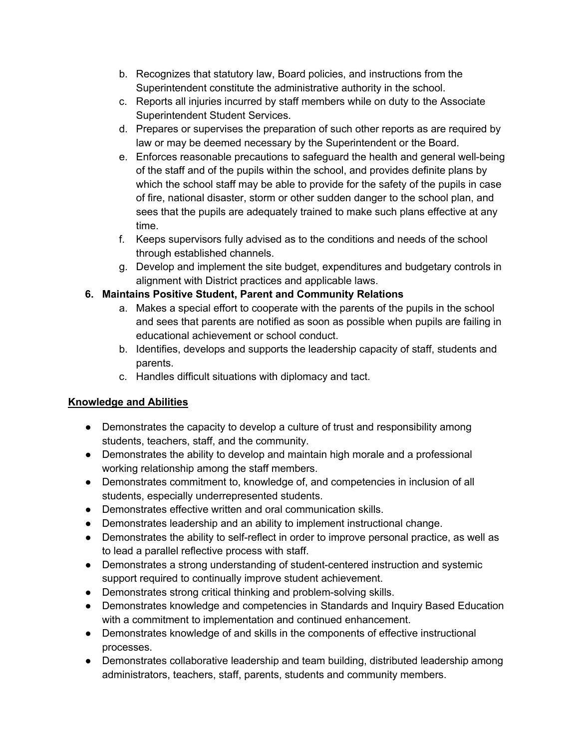- b. Recognizes that statutory law, Board policies, and instructions from the Superintendent constitute the administrative authority in the school.
- c. Reports all injuries incurred by staff members while on duty to the Associate Superintendent Student Services.
- d. Prepares or supervises the preparation of such other reports as are required by law or may be deemed necessary by the Superintendent or the Board.
- e. Enforces reasonable precautions to safeguard the health and general well-being of the staff and of the pupils within the school, and provides definite plans by which the school staff may be able to provide for the safety of the pupils in case of fire, national disaster, storm or other sudden danger to the school plan, and sees that the pupils are adequately trained to make such plans effective at any time.
- f. Keeps supervisors fully advised as to the conditions and needs of the school through established channels.
- g. Develop and implement the site budget, expenditures and budgetary controls in alignment with District practices and applicable laws.

### **6. Maintains Positive Student, Parent and Community Relations**

- a. Makes a special effort to cooperate with the parents of the pupils in the school and sees that parents are notified as soon as possible when pupils are failing in educational achievement or school conduct.
- b. Identifies, develops and supports the leadership capacity of staff, students and parents.
- c. Handles difficult situations with diplomacy and tact.

### **Knowledge and Abilities**

- Demonstrates the capacity to develop a culture of trust and responsibility among students, teachers, staff, and the community.
- Demonstrates the ability to develop and maintain high morale and a professional working relationship among the staff members.
- Demonstrates commitment to, knowledge of, and competencies in inclusion of all students, especially underrepresented students.
- Demonstrates effective written and oral communication skills.
- Demonstrates leadership and an ability to implement instructional change.
- Demonstrates the ability to self-reflect in order to improve personal practice, as well as to lead a parallel reflective process with staff.
- Demonstrates a strong understanding of student-centered instruction and systemic support required to continually improve student achievement.
- Demonstrates strong critical thinking and problem-solving skills.
- Demonstrates knowledge and competencies in Standards and Inquiry Based Education with a commitment to implementation and continued enhancement.
- Demonstrates knowledge of and skills in the components of effective instructional processes.
- Demonstrates collaborative leadership and team building, distributed leadership among administrators, teachers, staff, parents, students and community members.